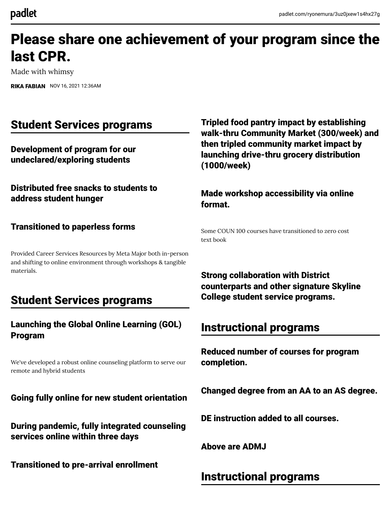# Please share one achievement of your program since the last CPR.

Made with whimsy

[RIKA FABIAN](https://padlet.com/ryonemura) NOV 16, 2021 12:36AM

# Student Services programs

Development of program for our undeclared/exploring students

Distributed free snacks to students to address student hunger

#### Transitioned to paperless forms

Provided Career Services Resources by Meta Major both in-person and shifting to online environment through workshops & tangible materials.

# Student Services programs

#### Launching the Global Online Learning (GOL) Program

We've developed a robust online counseling platform to serve our remote and hybrid students

Going fully online for new student orientation

During pandemic, fully integrated counseling services online within three days

Transitioned to pre-arrival enrollment

Tripled food pantry impact by establishing walk-thru Community Market (300/week) and then tripled community market impact by launching drive-thru grocery distribution (1000/week)

Made workshop accessibility via online format.

Some COUN 100 courses have transitioned to zero cost text book

Strong collaboration with District counterparts and other signature Skyline College student service programs.

# Instructional programs

Reduced number of courses for program completion.

Changed degree from an AA to an AS degree.

DE instruction added to all courses.

Above are ADMJ

## Instructional programs